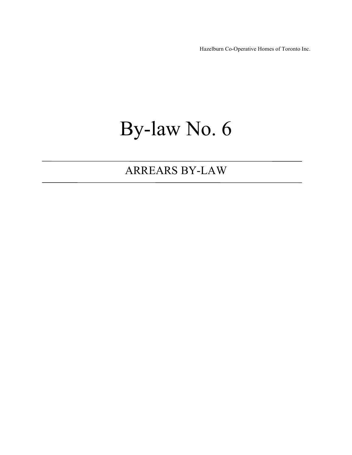Hazelburn Co-Operative Homes of Toronto Inc.

# By-law No. 6

# ARREARS BY-LAW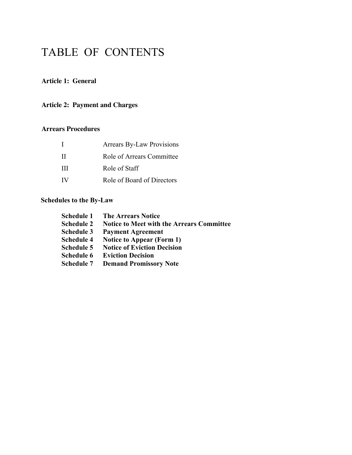# TABLE OF CONTENTS

#### **Article 1: General**

#### **Article 2: Payment and Charges**

#### **Arrears Procedures**

|    | <b>Arrears By-Law Provisions</b> |
|----|----------------------------------|
| Н  | Role of Arrears Committee        |
| Ш  | Role of Staff                    |
| IV | Role of Board of Directors       |

#### **Schedules to the By-Law**

| <b>Schedule 1</b> | <b>The Arrears Notice</b>                        |
|-------------------|--------------------------------------------------|
| <b>Schedule 2</b> | <b>Notice to Meet with the Arrears Committee</b> |
| <b>Schedule 3</b> | <b>Payment Agreement</b>                         |
| <b>Schedule 4</b> | <b>Notice to Appear (Form 1)</b>                 |
| <b>Schedule 5</b> | <b>Notice of Eviction Decision</b>               |
| Schedule 6        | <b>Eviction Decision</b>                         |
| <b>Schedule 7</b> | <b>Demand Promissory Note</b>                    |
|                   |                                                  |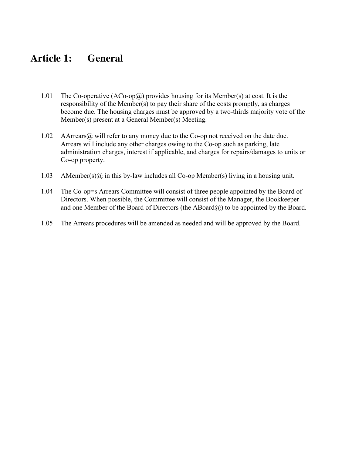# **Article 1: General**

- 1.01 The Co-operative  $(ACo-op(a))$  provides housing for its Member(s) at cost. It is the responsibility of the Member(s) to pay their share of the costs promptly, as charges become due. The housing charges must be approved by a two-thirds majority vote of the Member(s) present at a General Member(s) Meeting.
- 1.02 AArrears@ will refer to any money due to the Co-op not received on the date due. Arrears will include any other charges owing to the Co-op such as parking, late administration charges, interest if applicable, and charges for repairs/damages to units or Co-op property.
- 1.03 AMember(s) $\omega$  in this by-law includes all Co-op Member(s) living in a housing unit.
- 1.04 The Co-op=s Arrears Committee will consist of three people appointed by the Board of Directors. When possible, the Committee will consist of the Manager, the Bookkeeper and one Member of the Board of Directors (the  $ABoard(\hat{a})$ ) to be appointed by the Board.
- 1.05 The Arrears procedures will be amended as needed and will be approved by the Board.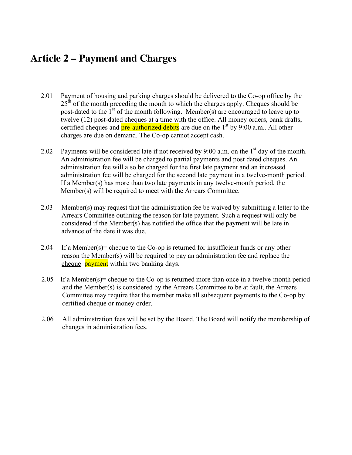# **Article 2 – Payment and Charges**

- 2.01 Payment of housing and parking charges should be delivered to the Co-op office by the  $25<sup>th</sup>$  of the month preceding the month to which the charges apply. Cheques should be post-dated to the  $1<sup>st</sup>$  of the month following. Member(s) are encouraged to leave up to twelve (12) post-dated cheques at a time with the office. All money orders, bank drafts, certified cheques and  $pre-authorized$  debits are due on the  $1<sup>st</sup>$  by 9:00 a.m.. All other charges are due on demand. The Co-op cannot accept cash.
- 2.02 Payments will be considered late if not received by 9:00 a.m. on the  $1<sup>st</sup>$  day of the month. An administration fee will be charged to partial payments and post dated cheques. An administration fee will also be charged for the first late payment and an increased administration fee will be charged for the second late payment in a twelve-month period. If a Member(s) has more than two late payments in any twelve-month period, the Member(s) will be required to meet with the Arrears Committee.
- 2.03 Member(s) may request that the administration fee be waived by submitting a letter to the Arrears Committee outlining the reason for late payment. Such a request will only be considered if the Member(s) has notified the office that the payment will be late in advance of the date it was due.
- 2.04 If a Member(s)= cheque to the Co-op is returned for insufficient funds or any other reason the Member(s) will be required to pay an administration fee and replace the cheque **payment** within two banking days.
- 2.05 If a Member(s)= cheque to the Co-op is returned more than once in a twelve-month period and the Member(s) is considered by the Arrears Committee to be at fault, the Arrears Committee may require that the member make all subsequent payments to the Co-op by certified cheque or money order.
- 2.06 All administration fees will be set by the Board. The Board will notify the membership of changes in administration fees.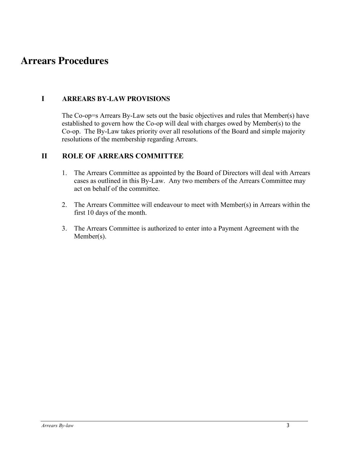### **Arrears Procedures**

#### **I ARREARS BY-LAW PROVISIONS**

The Co-op=s Arrears By-Law sets out the basic objectives and rules that Member(s) have established to govern how the Co-op will deal with charges owed by Member(s) to the Co-op. The By-Law takes priority over all resolutions of the Board and simple majority resolutions of the membership regarding Arrears.

#### **II ROLE OF ARREARS COMMITTEE**

- 1. The Arrears Committee as appointed by the Board of Directors will deal with Arrears cases as outlined in this By-Law. Any two members of the Arrears Committee may act on behalf of the committee.
- 2. The Arrears Committee will endeavour to meet with Member(s) in Arrears within the first 10 days of the month.
- 3. The Arrears Committee is authorized to enter into a Payment Agreement with the Member(s).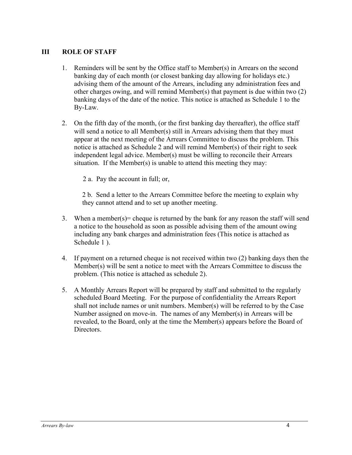#### **III ROLE OF STAFF**

- 1. Reminders will be sent by the Office staff to Member(s) in Arrears on the second banking day of each month (or closest banking day allowing for holidays etc.) advising them of the amount of the Arrears, including any administration fees and other charges owing, and will remind Member(s) that payment is due within two (2) banking days of the date of the notice. This notice is attached as Schedule 1 to the By-Law.
- 2. On the fifth day of the month, (or the first banking day thereafter), the office staff will send a notice to all Member(s) still in Arrears advising them that they must appear at the next meeting of the Arrears Committee to discuss the problem. This notice is attached as Schedule 2 and will remind Member(s) of their right to seek independent legal advice. Member(s) must be willing to reconcile their Arrears situation. If the Member(s) is unable to attend this meeting they may:
	- 2 a. Pay the account in full; or,

2 b. Send a letter to the Arrears Committee before the meeting to explain why they cannot attend and to set up another meeting.

- 3. When a member(s) = cheque is returned by the bank for any reason the staff will send a notice to the household as soon as possible advising them of the amount owing including any bank charges and administration fees (This notice is attached as Schedule 1 ).
- 4. If payment on a returned cheque is not received within two (2) banking days then the Member(s) will be sent a notice to meet with the Arrears Committee to discuss the problem. (This notice is attached as schedule 2).
- 5. A Monthly Arrears Report will be prepared by staff and submitted to the regularly scheduled Board Meeting. For the purpose of confidentiality the Arrears Report shall not include names or unit numbers. Member $(s)$  will be referred to by the Case Number assigned on move-in. The names of any Member(s) in Arrears will be revealed, to the Board, only at the time the Member(s) appears before the Board of Directors.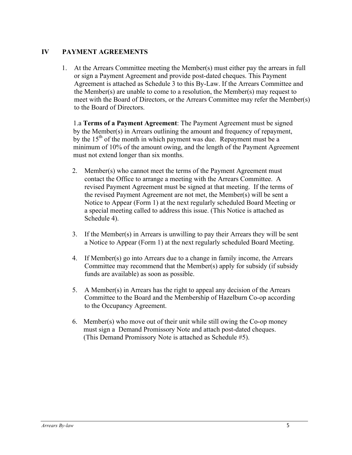#### **IV PAYMENT AGREEMENTS**

1. At the Arrears Committee meeting the Member(s) must either pay the arrears in full or sign a Payment Agreement and provide post-dated cheques. This Payment Agreement is attached as Schedule 3 to this By-Law. If the Arrears Committee and the Member(s) are unable to come to a resolution, the Member(s) may request to meet with the Board of Directors, or the Arrears Committee may refer the Member(s) to the Board of Directors.

1.a **Terms of a Payment Agreement**: The Payment Agreement must be signed by the Member(s) in Arrears outlining the amount and frequency of repayment, by the  $15<sup>th</sup>$  of the month in which payment was due. Repayment must be a minimum of 10% of the amount owing, and the length of the Payment Agreement must not extend longer than six months.

- 2. Member(s) who cannot meet the terms of the Payment Agreement must contact the Office to arrange a meeting with the Arrears Committee. A revised Payment Agreement must be signed at that meeting. If the terms of the revised Payment Agreement are not met, the Member(s) will be sent a Notice to Appear (Form 1) at the next regularly scheduled Board Meeting or a special meeting called to address this issue. (This Notice is attached as Schedule 4).
- 3. If the Member(s) in Arrears is unwilling to pay their Arrears they will be sent a Notice to Appear (Form 1) at the next regularly scheduled Board Meeting.
- 4. If Member(s) go into Arrears due to a change in family income, the Arrears Committee may recommend that the Member(s) apply for subsidy (if subsidy funds are available) as soon as possible.
- 5. A Member(s) in Arrears has the right to appeal any decision of the Arrears Committee to the Board and the Membership of Hazelburn Co-op according to the Occupancy Agreement.
- 6. Member(s) who move out of their unit while still owing the Co-op money must sign a Demand Promissory Note and attach post-dated cheques. (This Demand Promissory Note is attached as Schedule #5).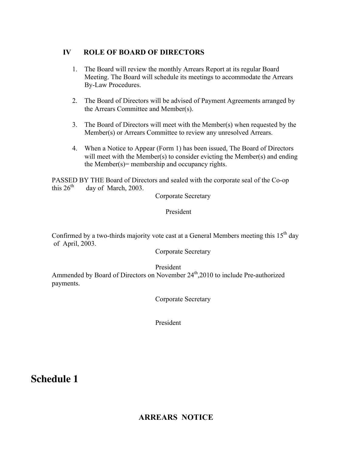#### **IV ROLE OF BOARD OF DIRECTORS**

- 1. The Board will review the monthly Arrears Report at its regular Board Meeting. The Board will schedule its meetings to accommodate the Arrears By-Law Procedures.
- 2. The Board of Directors will be advised of Payment Agreements arranged by the Arrears Committee and Member(s).
- 3. The Board of Directors will meet with the Member(s) when requested by the Member(s) or Arrears Committee to review any unresolved Arrears.
- 4. When a Notice to Appear (Form 1) has been issued, The Board of Directors will meet with the Member(s) to consider evicting the Member(s) and ending the Member( $s$ ) = membership and occupancy rights.

PASSED BY THE Board of Directors and sealed with the corporate seal of the Co-op this  $26<sup>th</sup>$  day of March 2003 day of March, 2003.

Corporate Secretary

President

Confirmed by a two-thirds majority vote cast at a General Members meeting this  $15<sup>th</sup>$  day of April, 2003.

Corporate Secretary

President

Ammended by Board of Directors on November 24<sup>th</sup>,2010 to include Pre-authorized payments.

Corporate Secretary

President

### **Schedule 1**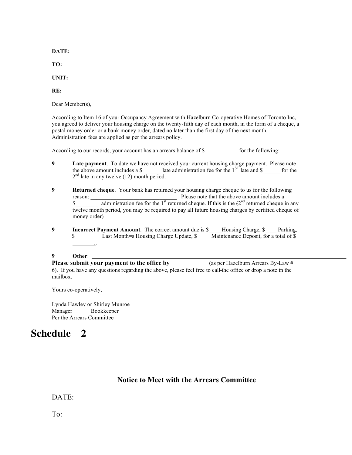**DATE:**

**TO:**

**UNIT:**

**RE:**

Dear Member(s),

According to Item 16 of your Occupancy Agreement with Hazelburn Co-operative Homes of Toronto Inc, you agreed to deliver your housing charge on the twenty-fifth day of each month, in the form of a cheque, a postal money order or a bank money order, dated no later than the first day of the next month. Administration fees are applied as per the arrears policy.

According to our records, your account has an arrears balance of \$ \_\_\_\_\_\_\_\_\_\_\_\_\_ for the following:

- **9 Late payment**. To date we have not received your current housing charge payment. Please note the above amount includes a  $\frac{1}{2}$  late administration fee for the 1<sup>ST</sup> late and  $\frac{1}{2}$  for the  $2<sup>nd</sup>$  late in any twelve (12) month period.
- **9 Returned cheque**. Your bank has returned your housing charge cheque to us for the following reason: \_\_\_\_\_\_\_\_\_\_\_\_\_\_\_\_\_\_\_\_\_\_\_\_\_\_\_\_\_\_ . Please note that the above amount includes a  $\text{\$}$  administration fee for the 1<sup>st</sup> returned cheque. If this is the  $(2^{nd}$  returned cheque in any twelve month period, you may be required to pay all future housing charges by certified cheque of money order)
- **9 Incorrect Payment Amount**. The correct amount due is \$<br>**Housing Charge, \$** Parking, \$ ..

#### **9 Other**:

**Please submit your payment to the office by** (as per Hazelburn Arrears By-Law # 6). If you have any questions regarding the above, please feel free to call the office or drop a note in the mailbox.

Yours co-operatively,

Lynda Hawley or Shirley Munroe Manager Bookkeeper Per the Arrears Committee

# **Schedule 2**

#### **Notice to Meet with the Arrears Committee**

DATE:

To: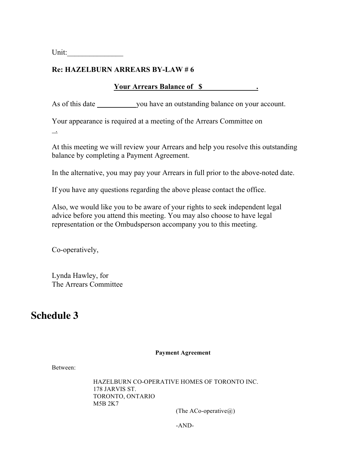Unit:

#### **Re: HAZELBURN ARREARS BY-LAW # 6**

#### **Your Arrears Balance of \$ .**

As of this date you have an outstanding balance on your account.

Your appearance is required at a meeting of the Arrears Committee on

.

At this meeting we will review your Arrears and help you resolve this outstanding balance by completing a Payment Agreement.

In the alternative, you may pay your Arrears in full prior to the above-noted date.

If you have any questions regarding the above please contact the office.

Also, we would like you to be aware of your rights to seek independent legal advice before you attend this meeting. You may also choose to have legal representation or the Ombudsperson accompany you to this meeting.

Co-operatively,

Lynda Hawley, for The Arrears Committee

# **Schedule 3**

#### **Payment Agreement**

Between:

HAZELBURN CO-OPERATIVE HOMES OF TORONTO INC. 178 JARVIS ST. TORONTO, ONTARIO M5B 2K7

(The ACo-operative $\omega$ )

-AND-